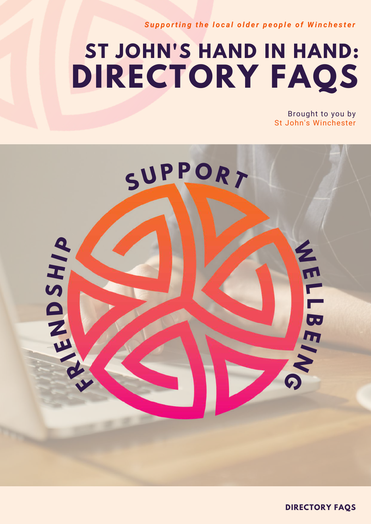Supporting the local older people of Winchester

# **ST JOHN'S HAND IN HAND: DIRECTORY FAQS**

Brought to you by St John's Winchester



**DIRECTORY FAQS**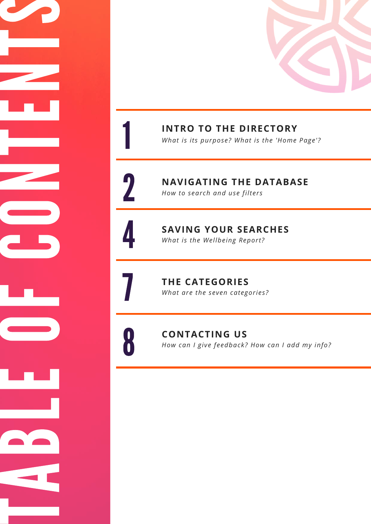

INTRO TO THE DIRECTORY

What is its purpose? What is the 'Home Page'?

**NAVIGATING THE DATABASE** *How to search and use filters* 

1

2

4

7

8

TABLE OF CONTENTS

SAVING YOUR SEARCHES *What is the Wellbeing Report?* 

**THE CATEGORIES** 

What are the seven categories?

**CONTACTING US** How can I give feedback? How can I add my info?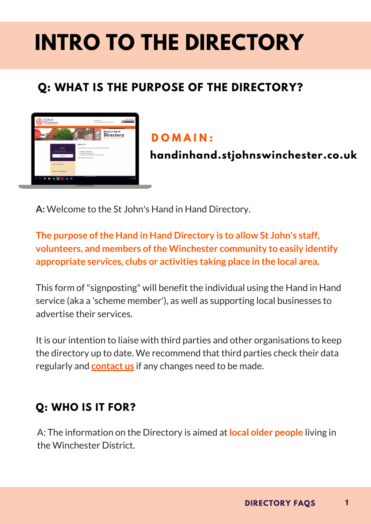# **INTRO TO THE DIRECTORY**

## **Q: WHAT IS THE PURPOSE OF THE DIRECTORY?**



#### **D O M A I N :**

**handinhand.stjohnswinchester.co.uk**

**A:** Welcome to the St John's Hand in Hand Directory.

**The purpose ofthe Hand in Hand Directory is to allow St John's staff, volunteers, and members ofthe Winchester community to easily identify appropriate services, clubs or activities taking place in the local area.**

This form of"signposting" will benefit the individual using the Hand in Hand service (aka a 'scheme member'), as well as supporting local businesses to advertise their services.

It is our intention to liaise with third parties and other organisations to keep the directory up to date. We recommend that third parties check their data regularly and **[contact](https://docs.google.com/forms/d/e/1FAIpQLSeXZ2VZakH1fItBMi4VMScvkgtXYUMaxWpzIh9GGULqmysYWQ/viewform) us** if any changes need to be made.

#### **Q: WHO IS IT FOR?**

A: The information on the Directory is aimed at **local older people** living in the Winchester District.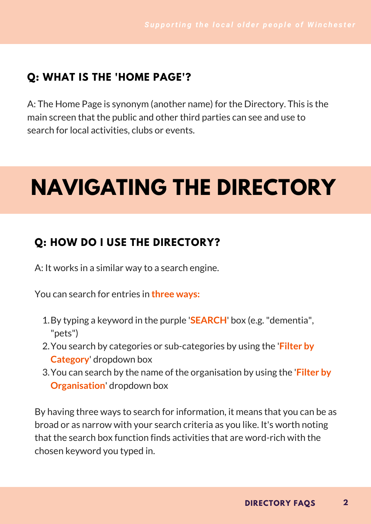#### **Q: WHAT IS THE 'HOME PAGE'?**

A: The Home Page is synonym (another name) for the Directory. This is the main screen that the public and other third parties can see and use to search for local activities, clubs or events.

# **NAVIGATING THE DIRECTORY**

#### **Q: HOW DO I USE THE DIRECTORY?**

A: It works in a similar way to a search engine.

You can search for entries in **three ways:**

- 1. By typing a keyword in the purple '**SEARCH**' box (e.g. "dementia", "pets")
- You search by categories or sub-categories by using the '**Filter by** 2. **Category**' dropdown box
- You can search by the name of the organisation by using the '**Filter by** 3. **Organisation**' dropdown box

By having three ways to search for information, it means that you can be as broad or as narrow with your search criteria as you like. It's worth noting that the search box function finds activities that are word-rich with the chosen keyword you typed in.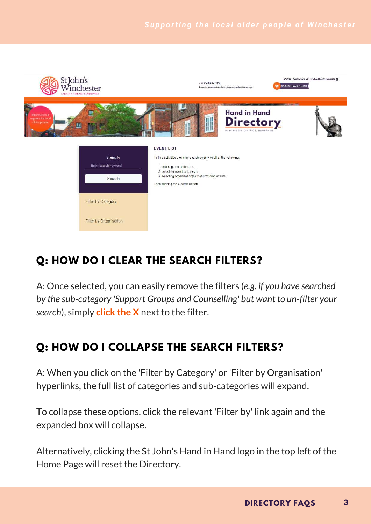

### **Q: HOW DO I CLEAR THE SEARCH FILTERS?**

A: Once selected, you can easily remove the filters (*e.g. if you have searched by the sub-category 'Support Groups and Counselling' but want to un-filter your search*), simply **click the X** next to the filter.

### **Q: HOW DO I COLLAPSE THE SEARCH FILTERS?**

A: When you click on the 'Filter by Category' or 'Filter by Organisation' hyperlinks, the full list of categories and sub-categories will expand.

To collapse these options, click the relevant 'Filter by' link again and the expanded box will collapse.

Alternatively, clicking the St John's Hand in Hand logo in the top left of the Home Page will reset the Directory.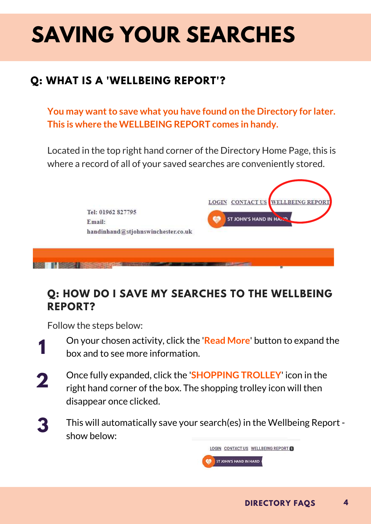# **SAVING YOUR SEARCHES**

### **Q: WHAT IS A 'WELLBEING REPORT'?**

**You** may want to save what you have found on the Directory for later. **This is where the WELLBEING REPORT comes in handy.**

Located in the top right hand corner of the Directory Home Page, this is where a record of all of your saved searches are conveniently stored.



#### **Q: HOW DO I SAVE MY SEARCHES TO THE WELLBEING REPORT?**

Follow the steps below:

- On your chosen activity, click the '**Read More**' button to expand the box and to see more information. **1**
- Once fully expanded, click the '**SHOPPING TROLLEY**' icon in the right hand corner of the box. The shopping trolley icon will then disappear once clicked. **2**
- This will automatically save your search(es) in the Wellbeing Report show below: **3**

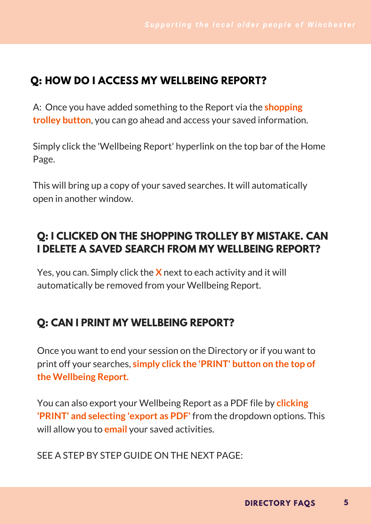#### **Q: HOW DO I ACCESS MY WELLBEING REPORT?**

A: Once you have added something to the Report via the **shopping trolley button**, you can go ahead and access your saved information.

Simply click the 'Wellbeing Report' hyperlink on the top bar of the Home Page.

This will bring up a copy of your saved searches. It will automatically open in another window.

#### **Q: I CLICKED ON THE SHOPPING TROLLEY BY MISTAKE. CAN I DELETE A SAVED SEARCH FROM MY WELLBEING REPORT?**

Yes, you can. Simply click the **X** next to each activity and it will automatically be removed from your Wellbeing Report.

#### **Q: CAN I PRINT MY WELLBEING REPORT?**

Once you want to end your session on the Directory or if you want to print off your searches, **simply click the 'PRINT' button on the top of the Wellbeing Report.**

You can also export your Wellbeing Report as a PDF file by **clicking 'PRINT' and selecting 'export as PDF'** from the dropdown options. This will allow you to **email** your saved activities.

SEE A STEP BY STEP GUIDE ON THE NEXT PAGE: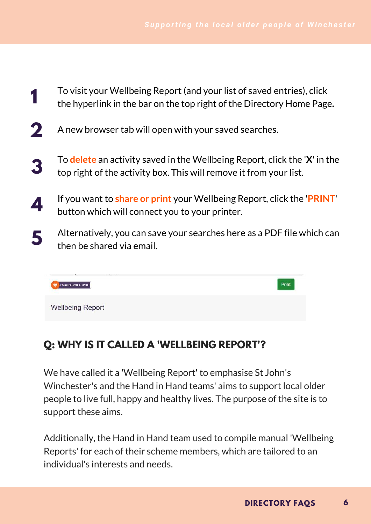- To visit your Wellbeing Report (and your list of saved entries), click the hyperlink in the bar on the top right of the Directory Home Page**. 1**
- A new browser tab will open with your saved searches. **2**
- To **delete** an activity saved in the Wellbeing Report, click the '**X**' in the top right of the activity box. This will remove it from your list. **3**
- If you want to **share or print** your Wellbeing Report, click the '**PRINT**' button which will connect you to your printer. **4**
- Alternatively, you can save your searches here as a PDF file which can then be shared via email. **5**



#### **Q: WHY IS IT CALLED A 'WELLBEING REPORT'?**

We have called it a 'Wellbeing Report' to emphasise St John's Winchester's and the Hand in Hand teams' aims to support local older people to live full, happy and healthy lives. The purpose of the site is to support these aims.

Additionally, the Hand in Hand team used to compile manual 'Wellbeing Reports' for each of their scheme members, which are tailored to an individual's interests and needs.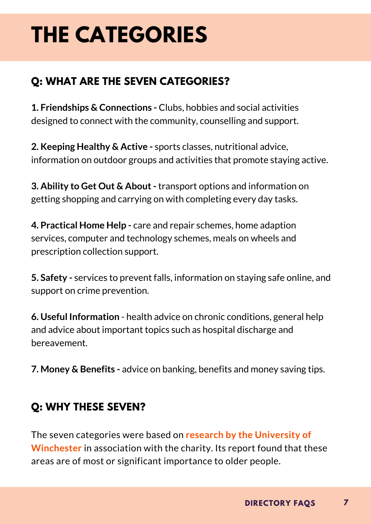# **THE CATEGORIES**

### **Q: WHAT ARE THE SEVEN CATEGORIES?**

**1. Friendships & Connections -** Clubs, hobbies and social activities designed to connect with the community, counselling and support.

**2. Keeping Healthy & Active -** sports classes, nutritional advice, information on outdoor groups and activities that promote staying active.

**3. Ability to Get Out & About-** transport options and information on getting shopping and carrying on with completing every day tasks.

**4. Practical Home Help -** care and repair schemes, home adaption services, computer and technology schemes, meals on wheels and prescription collection support.

**5. Safety -** services to prevent falls, information on staying safe online, and support on crime prevention.

**6. Useful Information** - health advice on chronic conditions, general help and advice about important topics such as hospital discharge and bereavement.

**7. Money & Benefits -** advice on banking, benefits and money saving tips.

#### **Q: WHY THESE SEVEN?**

The seven categories were based on **research by the University of Winchester** in association with the charity. Its report found that these areas are of most or significant importance to older people.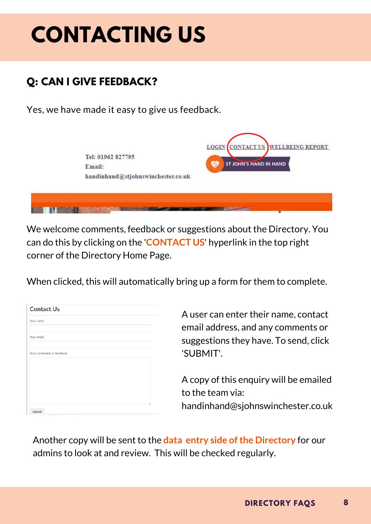# **CONTACTING US**

### **Q: CAN I GIVE FEEDBACK?**

Yes, we have made it easy to give us feedback.

| Tel: 01962 827795<br>Email:<br>handinhand@stjohnswinchester.co.uk | LOGIN CONTACT US WELLBEING REPORT<br><b>ST JOHN'S HAND IN HAND</b> |
|-------------------------------------------------------------------|--------------------------------------------------------------------|
|                                                                   |                                                                    |

We welcome comments, feedback or suggestions about the Directory. You can do this by clicking on the '**CONTACT US**' hyperlink in the top right corner of the Directory Home Page.

When clicked, this will automatically bring up a form for them to complete.

A user can enter their name, contact email address, and any comments or suggestions they have. To send, click 'SUBMIT'.

A copy of this enquiry will be emailed to the team via: handinhand@sjohnswinchester.co.uk

Another copy will be sent to the **data entry side ofthe Directory** for our admins to look at and review. This will be checked regularly.